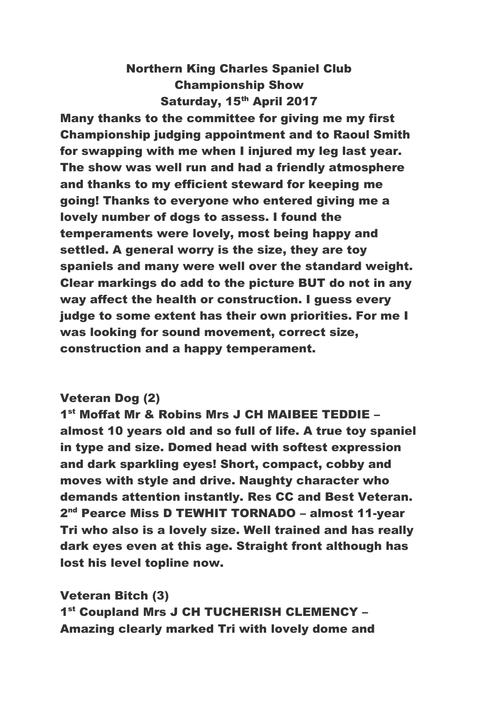## Northern King Charles Spaniel Club Championship Show Saturday, 15<sup>th</sup> April 2017

Many thanks to the committee for giving me my first Championship judging appointment and to Raoul Smith for swapping with me when I injured my leg last year. The show was well run and had a friendly atmosphere and thanks to my efficient steward for keeping me going! Thanks to everyone who entered giving me a lovely number of dogs to assess. I found the temperaments were lovely, most being happy and settled. A general worry is the size, they are toy spaniels and many were well over the standard weight. Clear markings do add to the picture BUT do not in any way affect the health or construction. I guess every judge to some extent has their own priorities. For me I was looking for sound movement, correct size, construction and a happy temperament.

## Veteran Dog (2)

1 st Moffat Mr & Robins Mrs J CH MAIBEE TEDDIE – almost 10 years old and so full of life. A true toy spaniel in type and size. Domed head with softest expression and dark sparkling eyes! Short, compact, cobby and moves with style and drive. Naughty character who demands attention instantly. Res CC and Best Veteran. 2<sup>nd</sup> Pearce Miss D TEWHIT TORNADO - almost 11-year Tri who also is a lovely size. Well trained and has really dark eyes even at this age. Straight front although has lost his level topline now.

Veteran Bitch (3) 1<sup>st</sup> Coupland Mrs J CH TUCHERISH CLEMENCY -Amazing clearly marked Tri with lovely dome and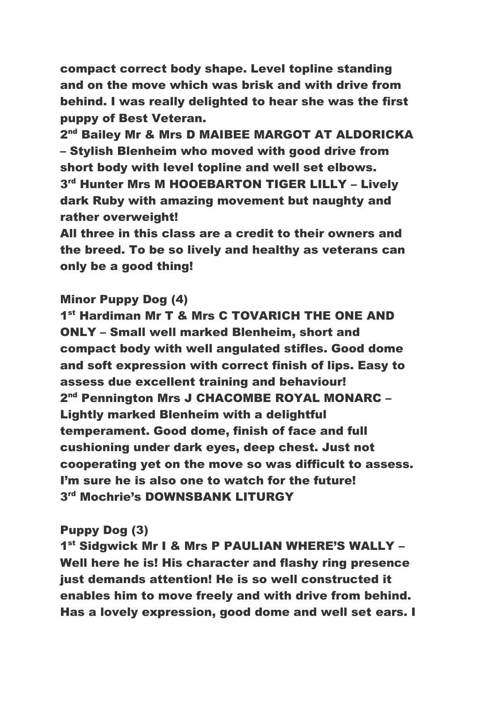compact correct body shape. Level topline standing and on the move which was brisk and with drive from behind. I was really delighted to hear she was the first puppy of Best Veteran.

2<sup>nd</sup> Bailey Mr & Mrs D MAIBEE MARGOT AT ALDORICKA – Stylish Blenheim who moved with good drive from short body with level topline and well set elbows. 3<sup>rd</sup> Hunter Mrs M HOOEBARTON TIGER LILLY - Lively dark Ruby with amazing movement but naughty and rather overweight!

All three in this class are a credit to their owners and the breed. To be so lively and healthy as veterans can only be a good thing!

### Minor Puppy Dog (4)

1<sup>st</sup> Hardiman Mr T & Mrs C TOVARICH THE ONE AND ONLY – Small well marked Blenheim, short and compact body with well angulated stifles. Good dome and soft expression with correct finish of lips. Easy to assess due excellent training and behaviour! 2<sup>nd</sup> Pennington Mrs J CHACOMBE ROYAL MONARC -Lightly marked Blenheim with a delightful temperament. Good dome, finish of face and full cushioning under dark eyes, deep chest. Just not cooperating yet on the move so was difficult to assess. I'm sure he is also one to watch for the future! 3 rd Mochrie's DOWNSBANK LITURGY

## Puppy Dog (3)

1<sup>st</sup> Sidgwick Mr I & Mrs P PAULIAN WHERE'S WALLY -Well here he is! His character and flashy ring presence just demands attention! He is so well constructed it enables him to move freely and with drive from behind. Has a lovely expression, good dome and well set ears. I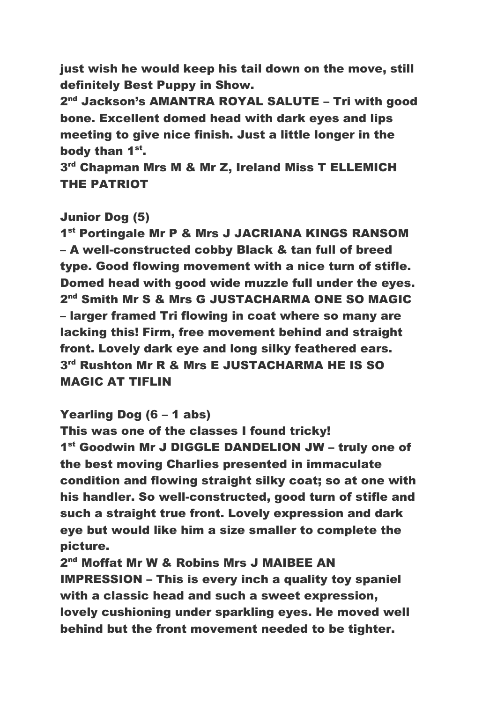just wish he would keep his tail down on the move, still definitely Best Puppy in Show.

2<sup>nd</sup> Jackson's AMANTRA ROYAL SALUTE – Tri with good bone. Excellent domed head with dark eyes and lips meeting to give nice finish. Just a little longer in the body than 1<sup>st</sup>.

3<sup>rd</sup> Chapman Mrs M & Mr Z, Ireland Miss T ELLEMICH THE PATRIOT

### Junior Dog (5)

1<sup>st</sup> Portingale Mr P & Mrs J JACRIANA KINGS RANSOM – A well-constructed cobby Black & tan full of breed type. Good flowing movement with a nice turn of stifle. Domed head with good wide muzzle full under the eyes. 2<sup>nd</sup> Smith Mr S & Mrs G JUSTACHARMA ONE SO MAGIC – larger framed Tri flowing in coat where so many are lacking this! Firm, free movement behind and straight front. Lovely dark eye and long silky feathered ears. 3 rd Rushton Mr R & Mrs E JUSTACHARMA HE IS SO MAGIC AT TIFLIN

Yearling Dog (6 – 1 abs)

This was one of the classes I found tricky! 1<sup>st</sup> Goodwin Mr J DIGGLE DANDELION JW - truly one of the best moving Charlies presented in immaculate condition and flowing straight silky coat; so at one with his handler. So well-constructed, good turn of stifle and such a straight true front. Lovely expression and dark eye but would like him a size smaller to complete the picture.

2<sup>nd</sup> Moffat Mr W & Robins Mrs J MAIBEE AN IMPRESSION – This is every inch a quality toy spaniel with a classic head and such a sweet expression, lovely cushioning under sparkling eyes. He moved well behind but the front movement needed to be tighter.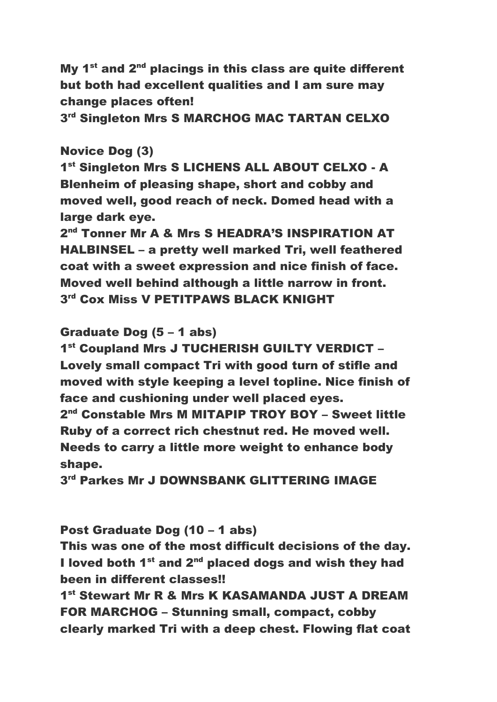My  $1<sup>st</sup>$  and  $2<sup>nd</sup>$  placings in this class are quite different but both had excellent qualities and I am sure may change places often!

3<sup>rd</sup> Singleton Mrs S MARCHOG MAC TARTAN CELXO

### Novice Dog (3)

1<sup>st</sup> Singleton Mrs S LICHENS ALL ABOUT CELXO - A Blenheim of pleasing shape, short and cobby and moved well, good reach of neck. Domed head with a large dark eye.

2<sup>nd</sup> Tonner Mr A & Mrs S HEADRA'S INSPIRATION AT HALBINSEL – a pretty well marked Tri, well feathered coat with a sweet expression and nice finish of face. Moved well behind although a little narrow in front.  $3<sup>rd</sup>$  Cox Miss V PETITPAWS BLACK KNIGHT

Graduate Dog (5 – 1 abs)

1<sup>st</sup> Coupland Mrs J TUCHERISH GUILTY VERDICT -Lovely small compact Tri with good turn of stifle and moved with style keeping a level topline. Nice finish of face and cushioning under well placed eyes.

2<sup>nd</sup> Constable Mrs M MITAPIP TROY BOY - Sweet little Ruby of a correct rich chestnut red. He moved well. Needs to carry a little more weight to enhance body shape.

 $3<sup>rd</sup>$  Parkes Mr J DOWNSBANK GLITTERING IMAGE

### Post Graduate Dog (10 – 1 abs)

This was one of the most difficult decisions of the day. I loved both  $1<sup>st</sup>$  and  $2<sup>nd</sup>$  placed dogs and wish they had been in different classes!!

1<sup>st</sup> Stewart Mr R & Mrs K KASAMANDA JUST A DREAM FOR MARCHOG – Stunning small, compact, cobby clearly marked Tri with a deep chest. Flowing flat coat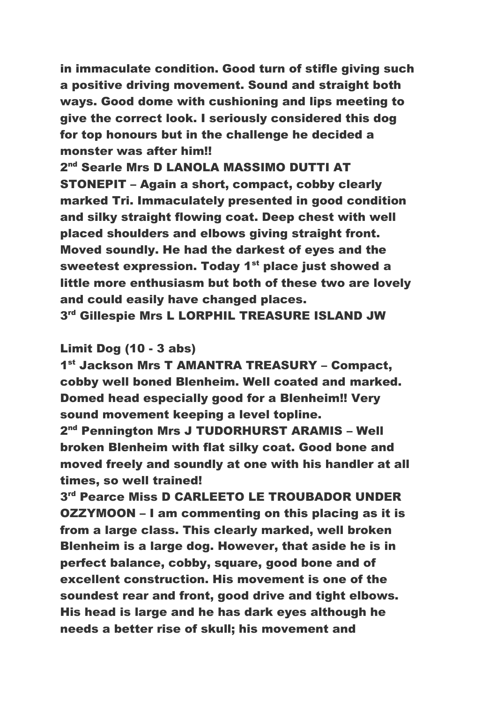in immaculate condition. Good turn of stifle giving such a positive driving movement. Sound and straight both ways. Good dome with cushioning and lips meeting to give the correct look. I seriously considered this dog for top honours but in the challenge he decided a monster was after him!!

2<sup>nd</sup> Searle Mrs D LANOLA MASSIMO DUTTI AT STONEPIT – Again a short, compact, cobby clearly marked Tri. Immaculately presented in good condition and silky straight flowing coat. Deep chest with well placed shoulders and elbows giving straight front. Moved soundly. He had the darkest of eyes and the sweetest expression. Today 1<sup>st</sup> place just showed a little more enthusiasm but both of these two are lovely and could easily have changed places.

 $3<sup>rd</sup>$  Gillespie Mrs L LORPHIL TREASURE ISLAND JW

### Limit Dog (10 - 3 abs)

1 st Jackson Mrs T AMANTRA TREASURY – Compact, cobby well boned Blenheim. Well coated and marked. Domed head especially good for a Blenheim!! Very sound movement keeping a level topline.

2<sup>nd</sup> Pennington Mrs J TUDORHURST ARAMIS - Well broken Blenheim with flat silky coat. Good bone and moved freely and soundly at one with his handler at all times, so well trained!

 $3<sup>rd</sup>$  Pearce Miss D CARLEETO LE TROUBADOR UNDER OZZYMOON – I am commenting on this placing as it is from a large class. This clearly marked, well broken Blenheim is a large dog. However, that aside he is in perfect balance, cobby, square, good bone and of excellent construction. His movement is one of the soundest rear and front, good drive and tight elbows. His head is large and he has dark eyes although he needs a better rise of skull; his movement and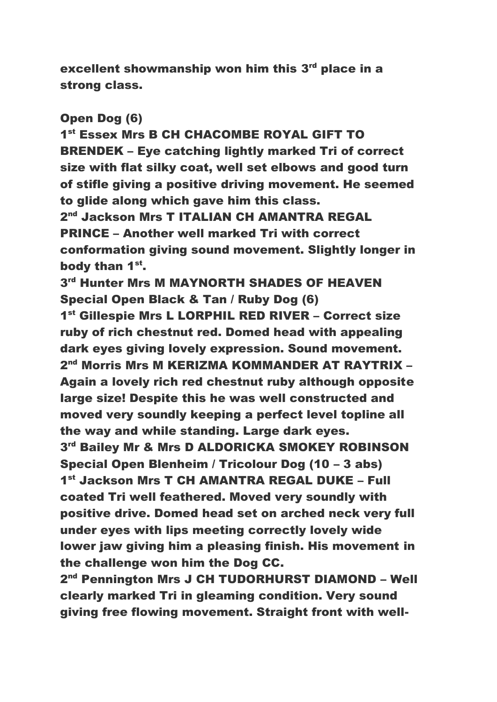excellent showmanship won him this 3<sup>rd</sup> place in a strong class.

#### Open Dog (6)

1<sup>st</sup> Essex Mrs B CH CHACOMBE ROYAL GIFT TO BRENDEK – Eye catching lightly marked Tri of correct size with flat silky coat, well set elbows and good turn of stifle giving a positive driving movement. He seemed to glide along which gave him this class.

2<sup>nd</sup> Jackson Mrs T ITALIAN CH AMANTRA REGAL PRINCE – Another well marked Tri with correct conformation giving sound movement. Slightly longer in body than 1<sup>st</sup>.

 $3<sup>rd</sup>$  Hunter Mrs M MAYNORTH SHADES OF HEAVEN Special Open Black & Tan / Ruby Dog (6)

1<sup>st</sup> Gillespie Mrs L LORPHIL RED RIVER - Correct size ruby of rich chestnut red. Domed head with appealing dark eyes giving lovely expression. Sound movement. 2<sup>nd</sup> Morris Mrs M KERIZMA KOMMANDER AT RAYTRIX – Again a lovely rich red chestnut ruby although opposite large size! Despite this he was well constructed and moved very soundly keeping a perfect level topline all the way and while standing. Large dark eyes. 3<sup>rd</sup> Bailey Mr & Mrs D ALDORICKA SMOKEY ROBINSON Special Open Blenheim / Tricolour Dog (10 – 3 abs) 1 st Jackson Mrs T CH AMANTRA REGAL DUKE – Full coated Tri well feathered. Moved very soundly with positive drive. Domed head set on arched neck very full under eyes with lips meeting correctly lovely wide lower jaw giving him a pleasing finish. His movement in the challenge won him the Dog CC.

2<sup>nd</sup> Pennington Mrs J CH TUDORHURST DIAMOND – Well clearly marked Tri in gleaming condition. Very sound giving free flowing movement. Straight front with well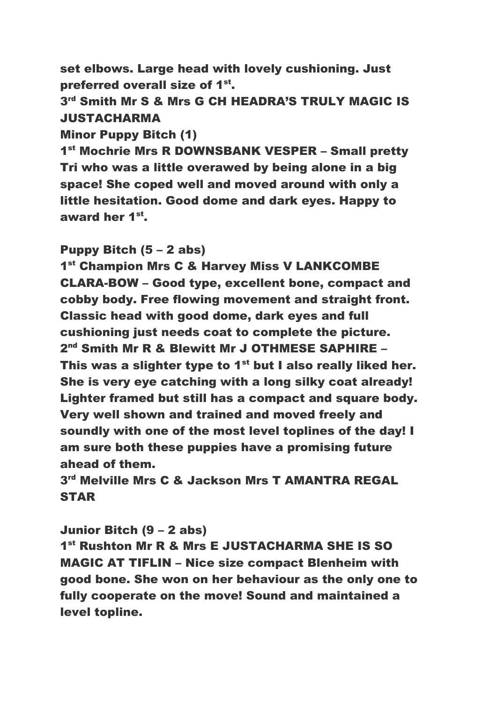set elbows. Large head with lovely cushioning. Just preferred overall size of 1<sup>st</sup>.

# 3<sup>rd</sup> Smith Mr S & Mrs G CH HEADRA'S TRULY MAGIC IS JUSTACHARMA

Minor Puppy Bitch (1)

1<sup>st</sup> Mochrie Mrs R DOWNSBANK VESPER - Small pretty Tri who was a little overawed by being alone in a big space! She coped well and moved around with only a little hesitation. Good dome and dark eyes. Happy to award her 1<sup>st</sup>.

### Puppy Bitch (5 – 2 abs)

1<sup>st</sup> Champion Mrs C & Harvey Miss V LANKCOMBE CLARA-BOW – Good type, excellent bone, compact and cobby body. Free flowing movement and straight front. Classic head with good dome, dark eyes and full cushioning just needs coat to complete the picture. 2<sup>nd</sup> Smith Mr R & Blewitt Mr J OTHMESE SAPHIRE -This was a slighter type to  $1<sup>st</sup>$  but I also really liked her. She is very eye catching with a long silky coat already! Lighter framed but still has a compact and square body. Very well shown and trained and moved freely and soundly with one of the most level toplines of the day! I am sure both these puppies have a promising future ahead of them.

 $3<sup>rd</sup>$  Melville Mrs C & Jackson Mrs T AMANTRA REGAL STAR

Junior Bitch (9 – 2 abs)

1 st Rushton Mr R & Mrs E JUSTACHARMA SHE IS SO MAGIC AT TIFLIN – Nice size compact Blenheim with good bone. She won on her behaviour as the only one to fully cooperate on the move! Sound and maintained a level topline.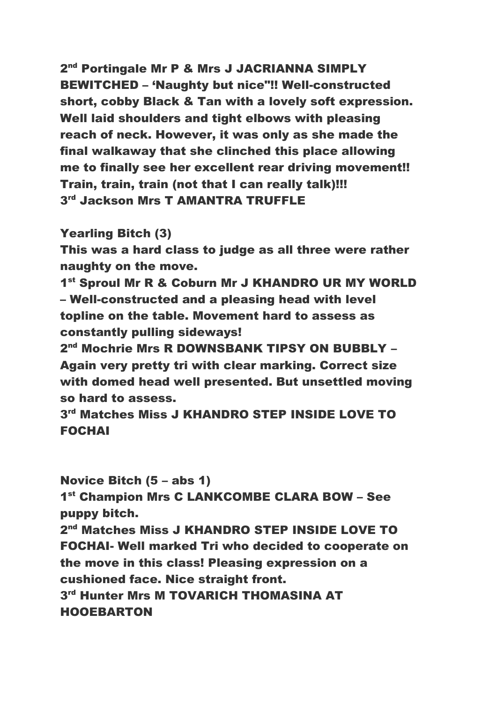2<sup>nd</sup> Portingale Mr P & Mrs J JACRIANNA SIMPLY BEWITCHED – 'Naughty but nice"!! Well-constructed short, cobby Black & Tan with a lovely soft expression. Well laid shoulders and tight elbows with pleasing reach of neck. However, it was only as she made the final walkaway that she clinched this place allowing me to finally see her excellent rear driving movement!! Train, train, train (not that I can really talk)!!!  $3<sup>rd</sup>$  Jackson Mrs T AMANTRA TRUFFLE

Yearling Bitch (3)

This was a hard class to judge as all three were rather naughty on the move.

1<sup>st</sup> Sproul Mr R & Coburn Mr J KHANDRO UR MY WORLD – Well-constructed and a pleasing head with level topline on the table. Movement hard to assess as constantly pulling sideways!

2<sup>nd</sup> Mochrie Mrs R DOWNSBANK TIPSY ON BUBBLY – Again very pretty tri with clear marking. Correct size with domed head well presented. But unsettled moving so hard to assess.

3 rd Matches Miss J KHANDRO STEP INSIDE LOVE TO FOCHAI

Novice Bitch (5 – abs 1)

1 st Champion Mrs C LANKCOMBE CLARA BOW – See puppy bitch.

2<sup>nd</sup> Matches Miss J KHANDRO STEP INSIDE LOVE TO FOCHAI- Well marked Tri who decided to cooperate on the move in this class! Pleasing expression on a cushioned face. Nice straight front.  $3<sup>rd</sup>$  Hunter Mrs M TOVARICH THOMASINA AT HOOEBARTON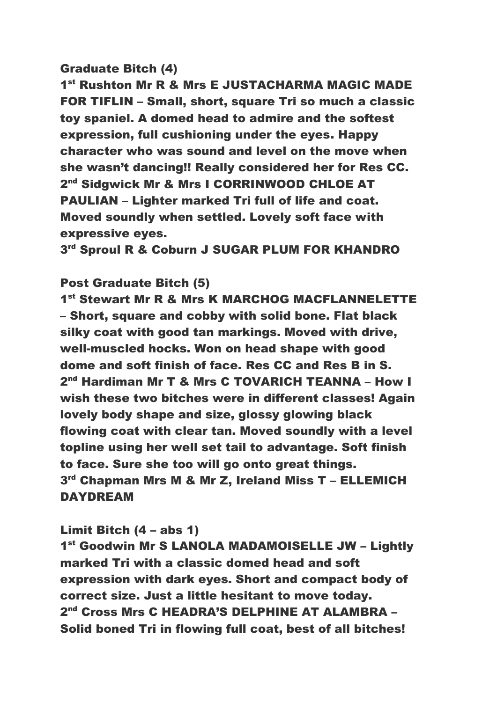### Graduate Bitch (4)

1<sup>st</sup> Rushton Mr R & Mrs E JUSTACHARMA MAGIC MADE FOR TIFLIN – Small, short, square Tri so much a classic toy spaniel. A domed head to admire and the softest expression, full cushioning under the eyes. Happy character who was sound and level on the move when she wasn't dancing!! Really considered her for Res CC. 2<sup>nd</sup> Sidgwick Mr & Mrs I CORRINWOOD CHLOE AT PAULIAN – Lighter marked Tri full of life and coat. Moved soundly when settled. Lovely soft face with expressive eyes.

3<sup>rd</sup> Sproul R & Coburn J SUGAR PLUM FOR KHANDRO

### Post Graduate Bitch (5)

1 st Stewart Mr R & Mrs K MARCHOG MACFLANNELETTE – Short, square and cobby with solid bone. Flat black silky coat with good tan markings. Moved with drive, well-muscled hocks. Won on head shape with good dome and soft finish of face. Res CC and Res B in S. 2<sup>nd</sup> Hardiman Mr T & Mrs C TOVARICH TEANNA - How I wish these two bitches were in different classes! Again lovely body shape and size, glossy glowing black flowing coat with clear tan. Moved soundly with a level topline using her well set tail to advantage. Soft finish to face. Sure she too will go onto great things. 3 rd Chapman Mrs M & Mr Z, Ireland Miss T – ELLEMICH DAYDREAM

### Limit Bitch (4 – abs 1)

1<sup>st</sup> Goodwin Mr S LANOLA MADAMOISELLE JW - Lightly marked Tri with a classic domed head and soft expression with dark eyes. Short and compact body of correct size. Just a little hesitant to move today. 2<sup>nd</sup> Cross Mrs C HEADRA'S DELPHINE AT ALAMBRA – Solid boned Tri in flowing full coat, best of all bitches!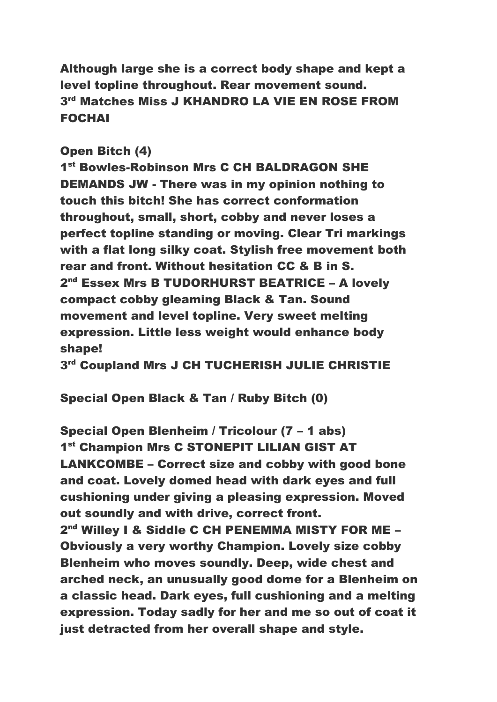Although large she is a correct body shape and kept a level topline throughout. Rear movement sound.  $3<sup>rd</sup>$  Matches Miss J KHANDRO LA VIE EN ROSE FROM FOCHAI

### Open Bitch (4)

1<sup>st</sup> Bowles-Robinson Mrs C CH BALDRAGON SHE DEMANDS JW - There was in my opinion nothing to touch this bitch! She has correct conformation throughout, small, short, cobby and never loses a perfect topline standing or moving. Clear Tri markings with a flat long silky coat. Stylish free movement both rear and front. Without hesitation CC & B in S. 2<sup>nd</sup> Essex Mrs B TUDORHURST BEATRICE – A lovely compact cobby gleaming Black & Tan. Sound movement and level topline. Very sweet melting expression. Little less weight would enhance body shape!

 $3<sup>rd</sup>$  Coupland Mrs J CH TUCHERISH JULIE CHRISTIE

## Special Open Black & Tan / Ruby Bitch (0)

Special Open Blenheim / Tricolour (7 – 1 abs) 1<sup>st</sup> Champion Mrs C STONEPIT LILIAN GIST AT LANKCOMBE – Correct size and cobby with good bone and coat. Lovely domed head with dark eyes and full cushioning under giving a pleasing expression. Moved out soundly and with drive, correct front. 2<sup>nd</sup> Willey I & Siddle C CH PENEMMA MISTY FOR ME -Obviously a very worthy Champion. Lovely size cobby Blenheim who moves soundly. Deep, wide chest and arched neck, an unusually good dome for a Blenheim on a classic head. Dark eyes, full cushioning and a melting expression. Today sadly for her and me so out of coat it just detracted from her overall shape and style.